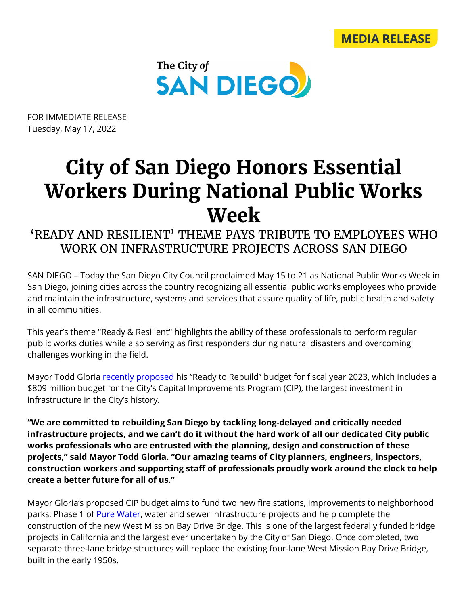



FOR IMMEDIATE RELEASE Tuesday, May 17, 2022

## **City of San Diego Honors Essential Workers During National Public Works Week**

## 'READY AND RESILIENT' THEME PAYS TRIBUTE TO EMPLOYEES WHO WORK ON INFRASTRUCTURE PROJECTS ACROSS SAN DIEGO

SAN DIEGO – Today the San Diego City Council proclaimed May 15 to 21 as National Public Works Week in San Diego, joining cities across the country recognizing all essential public works employees who provide and maintain the infrastructure, systems and services that assure quality of life, public health and safety in all communities.

This year's theme "Ready & Resilient" highlights the ability of these professionals to perform regular public works duties while also serving as first responders during natural disasters and overcoming challenges working in the field.

Mayor Todd Gloria [recently proposed](https://www.sandiego.gov/mayor/mayor-gloria%E2%80%99s-budget-proposes-largest-infrastructure-investment-city-history) his "Ready to Rebuild" budget for fiscal year 2023, which includes a \$809 million budget for the City's Capital Improvements Program (CIP), the largest investment in infrastructure in the City's history.

**"We are committed to rebuilding San Diego by tackling long-delayed and critically needed infrastructure projects, and we can't do it without the hard work of all our dedicated City public works professionals who are entrusted with the planning, design and construction of these projects," said Mayor Todd Gloria. "Our amazing teams of City planners, engineers, inspectors, construction workers and supporting staff of professionals proudly work around the clock to help create a better future for all of us."**

Mayor Gloria's proposed CIP budget aims to fund two new fire stations, improvements to neighborhood parks, Phase 1 of [Pure Water,](https://www.sandiego.gov/public-utilities/sustainability/pure-water-sd) water and sewer infrastructure projects and help complete the construction of the new West Mission Bay Drive Bridge. This is one of the largest federally funded bridge projects in California and the largest ever undertaken by the City of San Diego. Once completed, two separate three-lane bridge structures will replace the existing four-lane West Mission Bay Drive Bridge, built in the early 1950s.